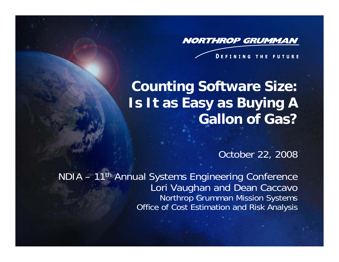**NORTHROP GRUMMAN** 

**DEFINING THE FUTURE** 

# **Counting Software Size: Is It as Easy as Buying A Gallon of Gas?**

October 22, 2008

NDIA – 11th Annual Systems Engineering Conference Lori Vaughan and Dean Caccavo Northrop Grumman Mission Systems Office of Cost Estimation and Risk Analysis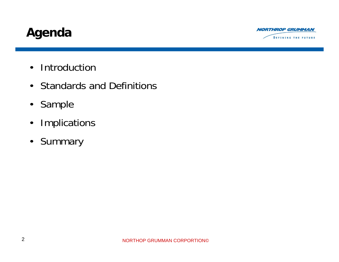## **Agenda**



- Introductior
- Standards and Definitions
- Sample
- •Implications
- •Summary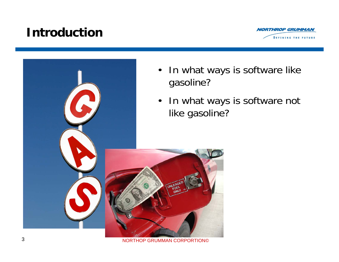### **Introduction**





- In what ways is software like gasoline?
- In what ways is software not like gasoline?

NORTHOP GRUMMAN CORPORTION©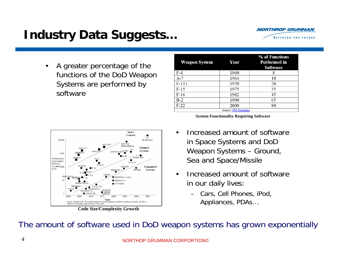# **Industry Data Suggests…**



 $\bullet$  A greater percentage of the functions of the DoD Weapon Systems are performed by software

| <b>Weapon System</b> | Year | % of Functions<br>Performed in<br>Software |  |  |  |  |  |
|----------------------|------|--------------------------------------------|--|--|--|--|--|
| $F-4$                | 1960 | 8                                          |  |  |  |  |  |
| $A-7$                | 1964 | 10                                         |  |  |  |  |  |
| $F-111$              | 1970 | 20                                         |  |  |  |  |  |
| $F-15$               | 1975 | 35                                         |  |  |  |  |  |
| $F-16$               | 1982 | 45                                         |  |  |  |  |  |
| $B-2$                | 1990 | 65                                         |  |  |  |  |  |
| $F-22$               | 2000 | 80                                         |  |  |  |  |  |
| Source: PM Magazine  |      |                                            |  |  |  |  |  |

**System Functionality Requiring Software**



**Code Size/Complexity Growth**

- • Increased amount of software in Space Systems and DoD Weapon Systems – Ground, Sea and Space/Missile
- • Increased amount of software in our daily lives:
	- Cars, Cell Phones, iPod, Appliances, PDAs…

The amount of software used in DoD weapon systems has grown exponentially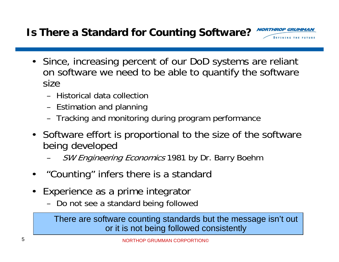### **Is There a Standard for Counting Software?**

- Since, increasing percent of our DoD systems are reliant on software we need to be able to quantify the software size
	- Historical data collection
	- Estimation and planning
	- Tracking and monitoring during program performance
- Software effort is proportional to the size of the software being developed
	- SW Engineering Economics 1981 by Dr. Barry Boehm
- •"Counting" infers there is a standard
- • Experience as a prime integrator
	- Do not see a standard being followed

There are software counting standards but the message isn't out or it is not being followed consistently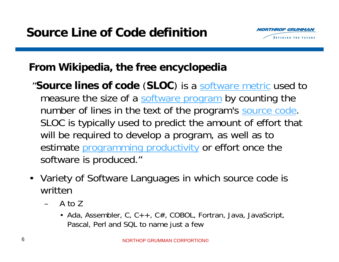

### **From Wikipedia, the free encyclopedia**

- "**Source lines of code** (**SLOC**) is a [software metric](http://en.wikipedia.org/wiki/Software_metric) used to measure the size of a [software program](http://en.wikipedia.org/wiki/Computer_software) by counting the number of lines in the text of the program's [source code](http://en.wikipedia.org/wiki/Source_code). SLOC is typically used to predict the amount of effort that will be required to develop a program, as well as to estimate [programming productivity](http://en.wikipedia.org/wiki/Programming_productivity) or effort once the software is produced."
- Variety of Software Languages in which source code is written
	- A to Z
		- Ada, Assembler, C, C++, C#, COBOL, Fortran, Java, JavaScript, Pascal, Perl and SQL to name just a few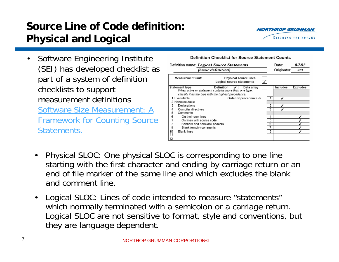### **Source Line of Code definition: Physical and Logical**



• Software Engineering Institute (SEI) has developed checklist as part of a system of definition checklists to support measurement definitions [Software Size Measurement: A](http://my.ms.northgrum.com/customportlets/ocera/SEI.pdf)  [Framework for Counting Source](http://my.ms.northgrum.com/customportlets/ocera/SEI.pdf)  [Statements.](http://my.ms.northgrum.com/customportlets/ocera/SEI.pdf)



- • Physical SLOC: One physical SLOC is corresponding to one line starting with the first character and ending by carriage return or an end of file marker of the same line and which excludes the blankand comment line.
- • Logical SLOC: Lines of code intended to measure "statements" which normally terminated with a semicolon or a carriage return. Logical SLOC are not sensitive to format, style and conventions, but they are language dependent.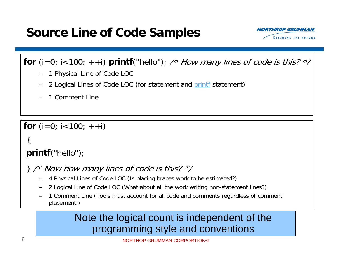## **Source Line of Code Samples**



**for** (i=0; i<100; ++i) **printf**("hello"); /\* How many lines of code is this? \*/

- 1 Physical Line of Code LOC
- 2 Logical Lines of Code LOC (for statement and [printf](http://en.wikipedia.org/wiki/Printf) statement)
- 1 Comment Line

**for** (i=0; i<100; ++i)

#### {

#### **printf**("hello");

- $\}$  /\* Now how many lines of code is this?  $\frac{*}{\ }$ 
	- 4 Physical Lines of Code LOC (Is placing braces work to be estimated?)
	- 2 Logical Line of Code LOC (What about all the work writing non-statement lines?)
	- 1 Comment Line (Tools must account for all code and comments regardless of comment placement.)

### Note the logical count is independent of the programming style and conventions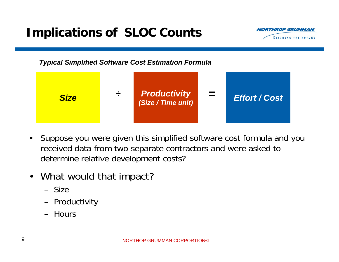## **Implications of SLOC Counts**



*Typical Simplified Software Cost Estimation Formula*



- $\bullet$  Suppose you were given this simplified software cost formula and you received data from two separate contractors and were asked to determine relative development costs?
- • What would that impact?
	- Size
	- Productivity
	- Hours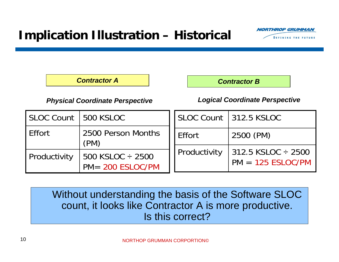

*Contractor A*

*Contractor B*

*Physical Coordinate Perspective Logical Coordinate Perspective*

| SLOC Count 1500 KSLOC |                                           |              | SLOC Count   312.5 KSLOC                                      |  |  |
|-----------------------|-------------------------------------------|--------------|---------------------------------------------------------------|--|--|
| Effort                | 2500 Person Months<br>(PM)                | Effort       | 2500 (PM)<br>$312.5$ KSLOC $\div$ 2500<br>$PM = 125$ ESLOC/PM |  |  |
| Productivity          | 500 KSLOC ÷ 2500<br>$PM = 200$ $ESLOC/PM$ | Productivity |                                                               |  |  |

Without understanding the basis of the Software SLOC count, it looks like Contractor A is more productive. Is this correct?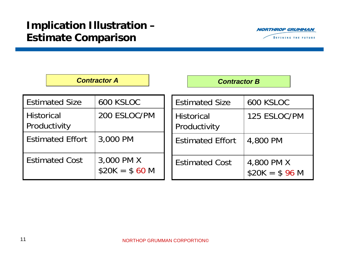

|                                   | <b>Contractor A</b>          | <b>Contractor B</b>               |                              |  |  |  |  |  |
|-----------------------------------|------------------------------|-----------------------------------|------------------------------|--|--|--|--|--|
| <b>Estimated Size</b>             | 600 KSLOC                    | <b>Estimated Size</b>             | 600 KSLOC                    |  |  |  |  |  |
| <b>Historical</b><br>Productivity | 200 ESLOC/PM                 | <b>Historical</b><br>Productivity | 125 ESLOC/PM                 |  |  |  |  |  |
| <b>Estimated Effort</b>           | 3,000 PM                     | <b>Estimated Effort</b>           | 4,800 PM                     |  |  |  |  |  |
| <b>Estimated Cost</b>             | 3,000 PM X<br>$$20K = $60 M$ | <b>Estimated Cost</b>             | 4,800 PM X<br>$$20K = $96 M$ |  |  |  |  |  |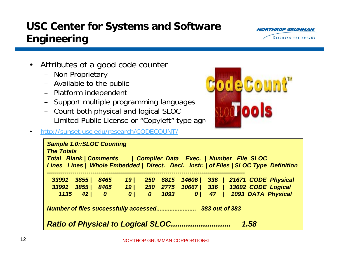### **USC Center for Systems and Software Engineering**

- • Attributes of a good code counter
	- Non Proprietary
	- Available to the public
	- Platform independent
	- Support multiple programming languages
	- Count both physical and logical SLOC
	- Limited Public License or "Copyleft" type agreement

#### <http://sunset.usc.edu/research/CODECOUNT/>

| <b>Sample 1.0::SLOC Counting</b><br><b>The Totals</b><br>Total Blank   Comments   Compiler Data Exec.   Number File SLOC<br>Lines Lines   Whole Embedded   Direct. Decl. Instr.   of Files   SLOC Type Definition |                                     |                   |                                                         |                                |              |                                  |  |  |  |  |                                                                  |
|-------------------------------------------------------------------------------------------------------------------------------------------------------------------------------------------------------------------|-------------------------------------|-------------------|---------------------------------------------------------|--------------------------------|--------------|----------------------------------|--|--|--|--|------------------------------------------------------------------|
| 33991<br>33991<br>1135                                                                                                                                                                                            | 3855 /<br>3855 /<br>42 <sub>l</sub> | 8465<br>$\bullet$ | 19 <sub>l</sub><br>8465 19 250 2775<br>$\boldsymbol{0}$ | <b>250</b><br>$\boldsymbol{0}$ | 6815<br>1093 | 10667   336   13692 CODE Logical |  |  |  |  | 14606   336   21671 CODE Physical<br>0   47   1093 DATA Physical |
|                                                                                                                                                                                                                   |                                     |                   |                                                         |                                |              |                                  |  |  |  |  |                                                                  |
| <b>Ratio of Physical to Logical SLOC</b><br>1.58<br>                                                                                                                                                              |                                     |                   |                                                         |                                |              |                                  |  |  |  |  |                                                                  |





•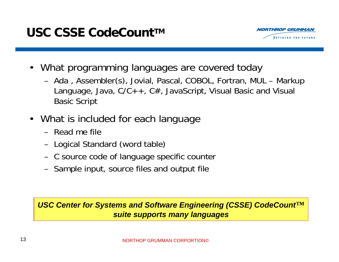

- What programming languages are covered today
	- Ada , Assembler(s), Jovial, Pascal, COBOL, Fortran, MUL Markup Language, Java,  $C/C++$ ,  $C#$ , JavaScript, Visual Basic and Visual Basic Script
- • What is included for each language
	- Read me file
	- Logical Standard (word table)
	- C source code of language specific counter
	- Sample input, source files and output file

#### *USC Center for Systems and Software Engineering (CSSE) CodeCount™ suite supports many languages*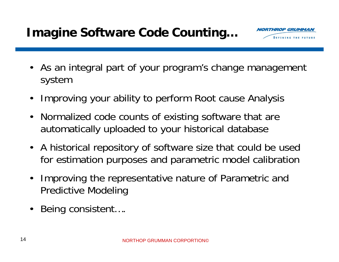

- As an integral part of your program's change management system
- •Improving your ability to perform Root cause Analysis
- $\bullet$  Normalized code counts of existing software that are automatically uploaded to your historical database
- $\bullet$  A historical repository of software size that could be used for estimation purposes and parametric model calibration
- • Improving the representative nature of Parametric and Predictive Modeling
- •Being consistent….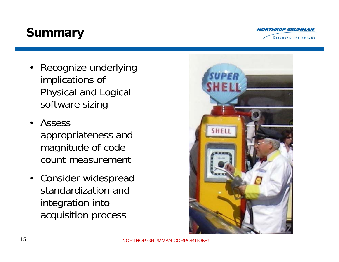# **Summary**

- Recognize underlying implications of Physical and Logical software sizing
- • Assess appropriateness and magnitude of code count measurement
- Consider widespread standardization and integration into acquisition process



**ROP GRUMMA**